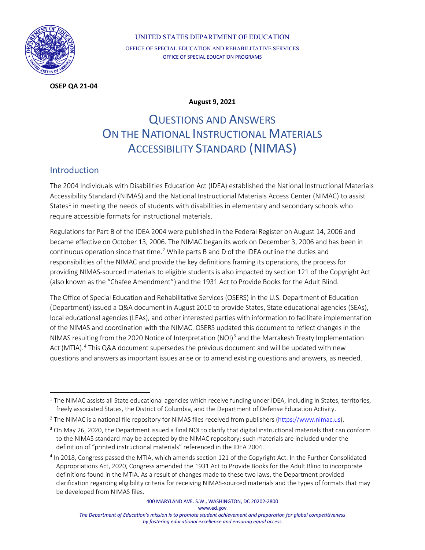

UNITED STATES DEPARTMENT OF EDUCATION OFFICE OF SPECIAL EDUCATION AND REHABILITATIVE SERVICES OFFICE OF SPECIAL EDUCATION PROGRAMS

#### **OSEP QA 21-04**

#### **August 9, 2021**

# QUESTIONS AND ANSWERS ON THE NATIONAL INSTRUCTIONAL MATERIALS ACCESSIBILITY STANDARD (NIMAS)

#### **Introduction**

The 2004 Individuals with Disabilities Education Act (IDEA) established the National Instructional Materials Accessibility Standard (NIMAS) and the National Instructional Materials Access Center (NIMAC) to assist States<sup>[1](#page-0-0)</sup> in meeting the needs of students with disabilities in elementary and secondary schools who require accessible formats for instructional materials.

Regulations for Part B of the IDEA 2004 were published in the Federal Register on August 14, 2006 and became effective on October 13, 2006. The NIMAC began its work on December 3, 2006 and has been in continuous operation since that time.<sup>[2](#page-0-1)</sup> While parts B and D of the IDEA outline the duties and responsibilities of the NIMAC and provide the key definitions framing its operations, the process for providing NIMAS-sourced materials to eligible students is also impacted by section 121 of the Copyright Act (also known as the "Chafee Amendment") and the 1931 Act to Provide Books for the Adult Blind.

The Office of Special Education and Rehabilitative Services (OSERS) in the U.S. Department of Education (Department) issued a Q&A document in August 2010 to provide States, State educational agencies (SEAs), local educational agencies (LEAs), and other interested parties with information to facilitate implementation of the NIMAS and coordination with the NIMAC. OSERS updated this document to reflect changes in the NIMAS resulting from the 2020 Notice of Interpretation (NOI)<sup>[3](#page-0-2)</sup> and the Marrakesh Treaty Implementation Act (MTIA). [4](#page-0-3) This Q&A document supersedes the previous document and will be updated with new questions and answers as important issues arise or to amend existing questions and answers, as needed.

www.ed.gov

<span id="page-0-0"></span> $1$  The NIMAC assists all State educational agencies which receive funding under IDEA, including in States, territories, freely associated States, the District of Columbia, and the Department of Defense Education Activity.

<span id="page-0-1"></span><sup>&</sup>lt;sup>2</sup> The NIMAC is a national file repository for NIMAS files received from publishers [\(https://www.nimac.us\)](https://www.nimac.us/).

<span id="page-0-2"></span><sup>&</sup>lt;sup>3</sup> On May 26, 2020, the Department issued a final NOI to clarify that digital instructional materials that can conform to the NIMAS standard may be accepted by the NIMAC repository; such materials are included under the definition of "printed instructional materials" referenced in the IDEA 2004.

<span id="page-0-3"></span><sup>4</sup> In 2018, Congress passed the MTIA, which amends section 121 of the Copyright Act. In the Further Consolidated Appropriations Act, 2020, Congress amended the 1931 Act to Provide Books for the Adult Blind to incorporate definitions found in the MTIA. As a result of changes made to these two laws, the Department provided clarification regarding eligibility criteria for receiving NIMAS-sourced materials and the types of formats that may be developed from NIMAS files.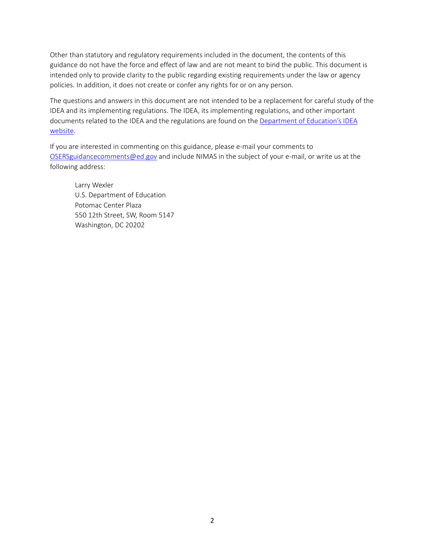Other than statutory and regulatory requirements included in the document, the contents of this guidance do not have the force and effect of law and are not meant to bind the public. This document is intended only to provide clarity to the public regarding existing requirements under the law or agency policies. In addition, it does not create or confer any rights for or on any person.

The questions and answers in this document are not intended to be a replacement for careful study of the IDEA and its implementing regulations. The IDEA, its implementing regulations, and other important documents related to the IDEA and the regulations are found on the [Department of Education's IDEA](https://sites.ed.gov/idea/)  [website.](https://sites.ed.gov/idea/)

If you are interested in commenting on this guidance, please e-mail your comments to [OSERSguidancecomments@ed.gov](mailto:OSERSguidancecomments@ed.gov) and include NIMAS in the subject of your e-mail, or write us at the following address:

Larry Wexler U.S. Department of Education Potomac Center Plaza 550 12th Street, SW, Room 5147 Washington, DC 20202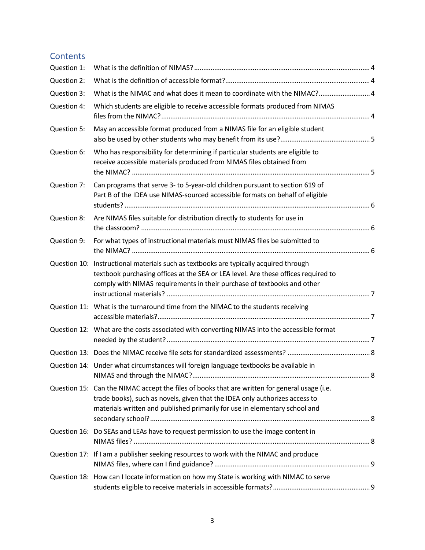# **Contents**

| Question 1: |                                                                                                                                                                                                                                                            |   |
|-------------|------------------------------------------------------------------------------------------------------------------------------------------------------------------------------------------------------------------------------------------------------------|---|
| Question 2: |                                                                                                                                                                                                                                                            |   |
| Question 3: | What is the NIMAC and what does it mean to coordinate with the NIMAC? 4                                                                                                                                                                                    |   |
| Question 4: | Which students are eligible to receive accessible formats produced from NIMAS                                                                                                                                                                              |   |
| Question 5: | May an accessible format produced from a NIMAS file for an eligible student                                                                                                                                                                                |   |
| Question 6: | Who has responsibility for determining if particular students are eligible to<br>receive accessible materials produced from NIMAS files obtained from                                                                                                      |   |
| Question 7: | Can programs that serve 3- to 5-year-old children pursuant to section 619 of<br>Part B of the IDEA use NIMAS-sourced accessible formats on behalf of eligible                                                                                              |   |
| Question 8: | Are NIMAS files suitable for distribution directly to students for use in                                                                                                                                                                                  |   |
| Question 9: | For what types of instructional materials must NIMAS files be submitted to                                                                                                                                                                                 |   |
|             | Question 10: Instructional materials such as textbooks are typically acquired through<br>textbook purchasing offices at the SEA or LEA level. Are these offices required to<br>comply with NIMAS requirements in their purchase of textbooks and other     |   |
|             | Question 11: What is the turnaround time from the NIMAC to the students receiving                                                                                                                                                                          |   |
|             | Question 12: What are the costs associated with converting NIMAS into the accessible format                                                                                                                                                                |   |
|             |                                                                                                                                                                                                                                                            |   |
|             | Question 14: Under what circumstances will foreign language textbooks be available in                                                                                                                                                                      | 8 |
|             | Question 15: Can the NIMAC accept the files of books that are written for general usage (i.e.<br>trade books), such as novels, given that the IDEA only authorizes access to<br>materials written and published primarily for use in elementary school and |   |
|             | Question 16: Do SEAs and LEAs have to request permission to use the image content in                                                                                                                                                                       |   |
|             | Question 17: If I am a publisher seeking resources to work with the NIMAC and produce                                                                                                                                                                      |   |
|             | Question 18: How can I locate information on how my State is working with NIMAC to serve                                                                                                                                                                   |   |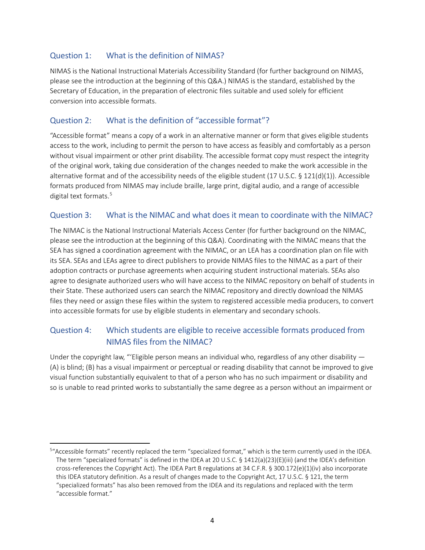#### <span id="page-3-0"></span>Question 1: What is the definition of NIMAS?

NIMAS is the National Instructional Materials Accessibility Standard (for further background on NIMAS, please see the introduction at the beginning of this Q&A.) NIMAS is the standard, established by the Secretary of Education, in the preparation of electronic files suitable and used solely for efficient conversion into accessible formats.

#### <span id="page-3-1"></span>Question 2: What is the definition of "accessible format"?

"Accessible format" means a copy of a work in an alternative manner or form that gives eligible students access to the work, including to permit the person to have access as feasibly and comfortably as a person without visual impairment or other print disability. The accessible format copy must respect the integrity of the original work, taking due consideration of the changes needed to make the work accessible in the alternative format and of the accessibility needs of the eligible student (17 U.S.C. § 121(d)(1)). Accessible formats produced from NIMAS may include braille, large print, digital audio, and a range of accessible digital text formats. [5](#page-3-4)

#### <span id="page-3-2"></span>Question 3: What is the NIMAC and what does it mean to coordinate with the NIMAC?

The NIMAC is the National Instructional Materials Access Center (for further background on the NIMAC, please see the introduction at the beginning of this Q&A). Coordinating with the NIMAC means that the SEA has signed a coordination agreement with the NIMAC, or an LEA has a coordination plan on file with its SEA. SEAs and LEAs agree to direct publishers to provide NIMAS files to the NIMAC as a part of their adoption contracts or purchase agreements when acquiring student instructional materials. SEAs also agree to designate authorized users who will have access to the NIMAC repository on behalf of students in their State. These authorized users can search the NIMAC repository and directly download the NIMAS files they need or assign these files within the system to registered accessible media producers, to convert into accessible formats for use by eligible students in elementary and secondary schools.

### <span id="page-3-3"></span>Question 4: Which students are eligible to receive accessible formats produced from NIMAS files from the NIMAC?

Under the copyright law, "'Eligible person means an individual who, regardless of any other disability  $-$ (A) is blind; (B) has a visual impairment or perceptual or reading disability that cannot be improved to give visual function substantially equivalent to that of a person who has no such impairment or disability and so is unable to read printed works to substantially the same degree as a person without an impairment or

<span id="page-3-4"></span><sup>5</sup> "Accessible formats" recently replaced the term "specialized format," which is the term currently used in the IDEA. The term "specialized formats" is defined in the IDEA at 20 U.S.C. § 1412(a)(23)(E)(iii) (and the IDEA's definition cross-references the Copyright Act). The IDEA Part B regulations at 34 C.F.R. § 300.172(e)(1)(iv) also incorporate this IDEA statutory definition. As a result of changes made to the Copyright Act, 17 U.S.C. § 121, the term "specialized formats" has also been removed from the IDEA and its regulations and replaced with the term

<sup>&</sup>quot;accessible format."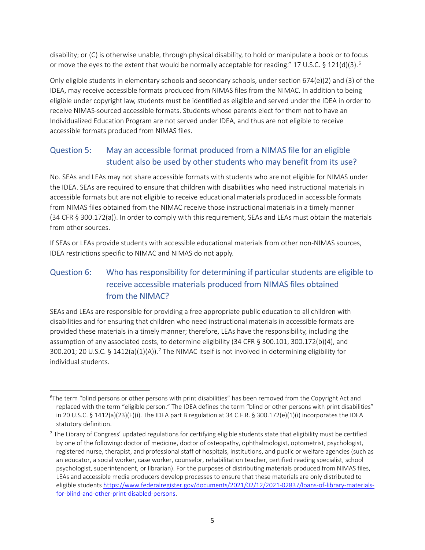disability; or (C) is otherwise unable, through physical disability, to hold or manipulate a book or to focus or move the eyes to the extent that would be normally acceptable for reading." 17 U.S.C. § 121(d)(3).<sup>[6](#page-4-2)</sup>

Only eligible students in elementary schools and secondary schools, under section 674(e)(2) and (3) of the IDEA, may receive accessible formats produced from NIMAS files from the NIMAC. In addition to being eligible under copyright law, students must be identified as eligible and served under the IDEA in order to receive NIMAS-sourced accessible formats. Students whose parents elect for them not to have an Individualized Education Program are not served under IDEA, and thus are not eligible to receive accessible formats produced from NIMAS files.

## <span id="page-4-0"></span>Question 5: May an accessible format produced from a NIMAS file for an eligible student also be used by other students who may benefit from its use?

No. SEAs and LEAs may not share accessible formats with students who are not eligible for NIMAS under the IDEA. SEAs are required to ensure that children with disabilities who need instructional materials in accessible formats but are not eligible to receive educational materials produced in accessible formats from NIMAS files obtained from the NIMAC receive those instructional materials in a timely manner (34 CFR § 300.172(a)). In order to comply with this requirement, SEAs and LEAs must obtain the materials from other sources.

If SEAs or LEAs provide students with accessible educational materials from other non-NIMAS sources, IDEA restrictions specific to NIMAC and NIMAS do not apply.

## <span id="page-4-1"></span>Question 6: Who has responsibility for determining if particular students are eligible to receive accessible materials produced from NIMAS files obtained from the NIMAC?

SEAs and LEAs are responsible for providing a free appropriate public education to all children with disabilities and for ensuring that children who need instructional materials in accessible formats are provided these materials in a timely manner; therefore, LEAs have the responsibility, including the assumption of any associated costs, to determine eligibility (34 CFR § 300.101, 300.172(b)(4), and 300.201; 20 U.S.C. § 1412(a)(1)(A)).<sup>[7](#page-4-3)</sup> The NIMAC itself is not involved in determining eligibility for individual students.

<span id="page-4-2"></span><sup>&</sup>lt;sup>6</sup>The term "blind persons or other persons with print disabilities" has been removed from the Copyright Act and replaced with the term "eligible person." The IDEA defines the term "blind or other persons with print disabilities" in 20 U.S.C. § 1412(a)(23)(E)(i). The IDEA part B regulation at 34 C.F.R. § 300.172(e)(1)(i) incorporates the IDEA statutory definition.

<span id="page-4-3"></span> $<sup>7</sup>$  The Library of Congress' updated regulations for certifying eligible students state that eligibility must be certified</sup> by one of the following: doctor of medicine, doctor of osteopathy, ophthalmologist, optometrist, psychologist, registered nurse, therapist, and professional staff of hospitals, institutions, and public or welfare agencies (such as an educator, a social worker, case worker, counselor, rehabilitation teacher, certified reading specialist, school psychologist, superintendent, or librarian). For the purposes of distributing materials produced from NIMAS files, LEAs and accessible media producers develop processes to ensure that these materials are only distributed to eligible students [https://www.federalregister.gov/documents/2021/02/12/2021-02837/loans-of-library-materials](https://www.federalregister.gov/documents/2021/02/12/2021-02837/loans-of-library-materials-for-blind-and-other-print-disabled-persons)[for-blind-and-other-print-disabled-persons.](https://www.federalregister.gov/documents/2021/02/12/2021-02837/loans-of-library-materials-for-blind-and-other-print-disabled-persons)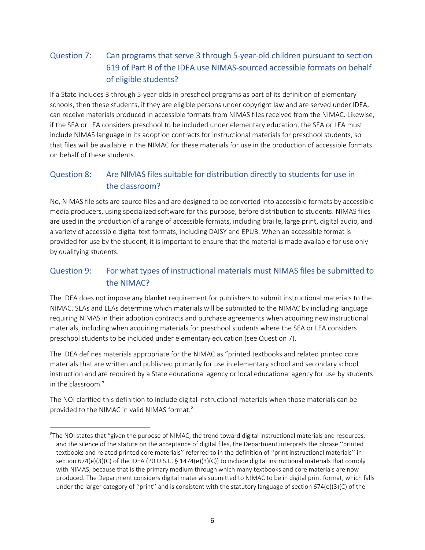## <span id="page-5-0"></span>Question 7: Can programs that serve 3 through 5-year-old children pursuant to section 619 of Part B of the IDEA use NIMAS-sourced accessible formats on behalf of eligible students?

If a State includes 3 through 5-year-olds in preschool programs as part of its definition of elementary schools, then these students, if they are eligible persons under copyright law and are served under IDEA, can receive materials produced in accessible formats from NIMAS files received from the NIMAC. Likewise, if the SEA or LEA considers preschool to be included under elementary education, the SEA or LEA must include NIMAS language in its adoption contracts for instructional materials for preschool students, so that files will be available in the NIMAC for these materials for use in the production of accessible formats on behalf of these students.

#### <span id="page-5-1"></span>Question 8: Are NIMAS files suitable for distribution directly to students for use in the classroom?

No, NIMAS file sets are source files and are designed to be converted into accessible formats by accessible media producers, using specialized software for this purpose, before distribution to students. NIMAS files are used in the production of a range of accessible formats, including braille, large print, digital audio, and a variety of accessible digital text formats, including DAISY and EPUB. When an accessible format is provided for use by the student, it is important to ensure that the material is made available for use only by qualifying students.

## <span id="page-5-2"></span>Question 9: For what types of instructional materials must NIMAS files be submitted to the NIMAC?

The IDEA does not impose any blanket requirement for publishers to submit instructional materials to the NIMAC. SEAs and LEAs determine which materials will be submitted to the NIMAC by including language requiring NIMAS in their adoption contracts and purchase agreements when acquiring new instructional materials, including when acquiring materials for preschool students where the SEA or LEA considers preschool students to be included under elementary education (see Question 7).

The IDEA defines materials appropriate for the NIMAC as "printed textbooks and related printed core materials that are written and published primarily for use in elementary school and secondary school instruction and are required by a State educational agency or local educational agency for use by students in the classroom."

The NOI clarified this definition to include digital instructional materials when those materials can be provided to the NIMAC in valid NIMAS format.<sup>[8](#page-5-3)</sup>

<span id="page-5-3"></span><sup>&</sup>lt;sup>8</sup>The NOI states that "given the purpose of NIMAC, the trend toward digital instructional materials and resources, and the silence of the statute on the acceptance of digital files, the Department interprets the phrase ''printed textbooks and related printed core materials'' referred to in the definition of ''print instructional materials'' in section 674(e)(3)(C) of the IDEA (20 U.S.C. § 1474(e)(3)(C)) to include digital instructional materials that comply with NIMAS, because that is the primary medium through which many textbooks and core materials are now produced. The Department considers digital materials submitted to NIMAC to be in digital print format, which falls under the larger category of ''print'' and is consistent with the statutory language of section 674(e)(3)(C) of the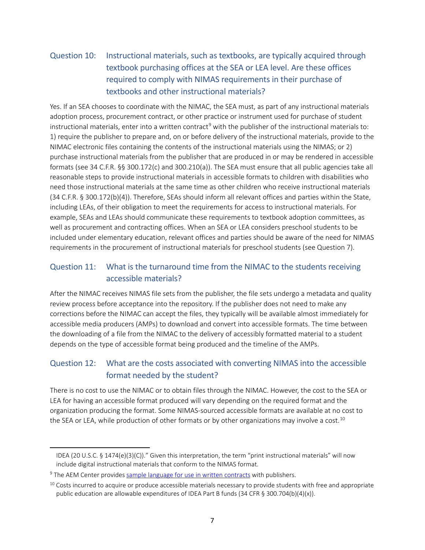# <span id="page-6-0"></span>Question 10: Instructional materials, such as textbooks, are typically acquired through textbook purchasing offices at the SEA or LEA level. Are these offices required to comply with NIMAS requirements in their purchase of textbooks and other instructional materials?

Yes. If an SEA chooses to coordinate with the NIMAC, the SEA must, as part of any instructional materials adoption process, procurement contract, or other practice or instrument used for purchase of student instructional materials, enter into a written contract<sup>[9](#page-6-3)</sup> with the publisher of the instructional materials to: 1) require the publisher to prepare and, on or before delivery of the instructional materials, provide to the NIMAC electronic files containing the contents of the instructional materials using the NIMAS; or 2) purchase instructional materials from the publisher that are produced in or may be rendered in accessible formats (see 34 C.F.R. §§ 300.172(c) and 300.210(a)). The SEA must ensure that all public agencies take all reasonable steps to provide instructional materials in accessible formats to children with disabilities who need those instructional materials at the same time as other children who receive instructional materials (34 C.F.R. § 300.172(b)(4)). Therefore, SEAs should inform all relevant offices and parties within the State, including LEAs, of their obligation to meet the requirements for access to instructional materials. For example, SEAs and LEAs should communicate these requirements to textbook adoption committees, as well as procurement and contracting offices. When an SEA or LEA considers preschool students to be included under elementary education, relevant offices and parties should be aware of the need for NIMAS requirements in the procurement of instructional materials for preschool students (see Question 7).

### <span id="page-6-1"></span>Question 11: What is the turnaround time from the NIMAC to the students receiving accessible materials?

After the NIMAC receives NIMAS file sets from the publisher, the file sets undergo a metadata and quality review process before acceptance into the repository. If the publisher does not need to make any corrections before the NIMAC can accept the files, they typically will be available almost immediately for accessible media producers (AMPs) to download and convert into accessible formats. The time between the downloading of a file from the NIMAC to the delivery of accessibly formatted material to a student depends on the type of accessible format being produced and the timeline of the AMPs.

## <span id="page-6-2"></span>Question 12: What are the costs associated with converting NIMAS into the accessible format needed by the student?

There is no cost to use the NIMAC or to obtain files through the NIMAC. However, the cost to the SEA or LEA for having an accessible format produced will vary depending on the required format and the organization producing the format. Some NIMAS-sourced accessible formats are available at no cost to the SEA or LEA, while production of other formats or by other organizations may involve a cost.<sup>[10](#page-6-4)</sup>

IDEA (20 U.S.C. § 1474(e)(3)(C))." Given this interpretation, the term "print instructional materials" will now include digital instructional materials that conform to the NIMAS format.

<span id="page-6-3"></span><sup>&</sup>lt;sup>9</sup> The AEM Center provides [sample language for use in written contracts](https://aem.cast.org/nimas-nimac/nimas-purchase-orders-contracts) with publishers.

<span id="page-6-4"></span> $10$  Costs incurred to acquire or produce accessible materials necessary to provide students with free and appropriate public education are allowable expenditures of IDEA Part B funds (34 CFR § 300.704(b)(4)(x)).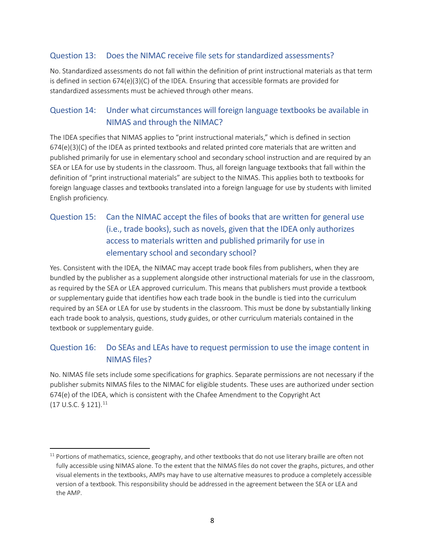#### <span id="page-7-0"></span>Question 13: Does the NIMAC receive file sets for standardized assessments?

No. Standardized assessments do not fall within the definition of print instructional materials as that term is defined in section 674(e)(3)(C) of the IDEA. Ensuring that accessible formats are provided for standardized assessments must be achieved through other means.

### <span id="page-7-1"></span>Question 14: Under what circumstances will foreign language textbooks be available in NIMAS and through the NIMAC?

The IDEA specifies that NIMAS applies to "print instructional materials," which is defined in section 674(e)(3)(C) of the IDEA as printed textbooks and related printed core materials that are written and published primarily for use in elementary school and secondary school instruction and are required by an SEA or LEA for use by students in the classroom. Thus, all foreign language textbooks that fall within the definition of "print instructional materials" are subject to the NIMAS. This applies both to textbooks for foreign language classes and textbooks translated into a foreign language for use by students with limited English proficiency.

## <span id="page-7-2"></span>Question 15: Can the NIMAC accept the files of books that are written for general use (i.e., trade books), such as novels, given that the IDEA only authorizes access to materials written and published primarily for use in elementary school and secondary school?

Yes. Consistent with the IDEA, the NIMAC may accept trade book files from publishers, when they are bundled by the publisher as a supplement alongside other instructional materials for use in the classroom, as required by the SEA or LEA approved curriculum. This means that publishers must provide a textbook or supplementary guide that identifies how each trade book in the bundle is tied into the curriculum required by an SEA or LEA for use by students in the classroom. This must be done by substantially linking each trade book to analysis, questions, study guides, or other curriculum materials contained in the textbook or supplementary guide.

### <span id="page-7-3"></span>Question 16: Do SEAs and LEAs have to request permission to use the image content in NIMAS files?

No. NIMAS file sets include some specifications for graphics. Separate permissions are not necessary if the publisher submits NIMAS files to the NIMAC for eligible students. These uses are authorized under section 674(e) of the IDEA, which is consistent with the Chafee Amendment to the Copyright Act (17 U.S.C. § 121). [11](#page-7-4)

<span id="page-7-4"></span> $11$  Portions of mathematics, science, geography, and other textbooks that do not use literary braille are often not fully accessible using NIMAS alone. To the extent that the NIMAS files do not cover the graphs, pictures, and other visual elements in the textbooks, AMPs may have to use alternative measures to produce a completely accessible version of a textbook. This responsibility should be addressed in the agreement between the SEA or LEA and the AMP.